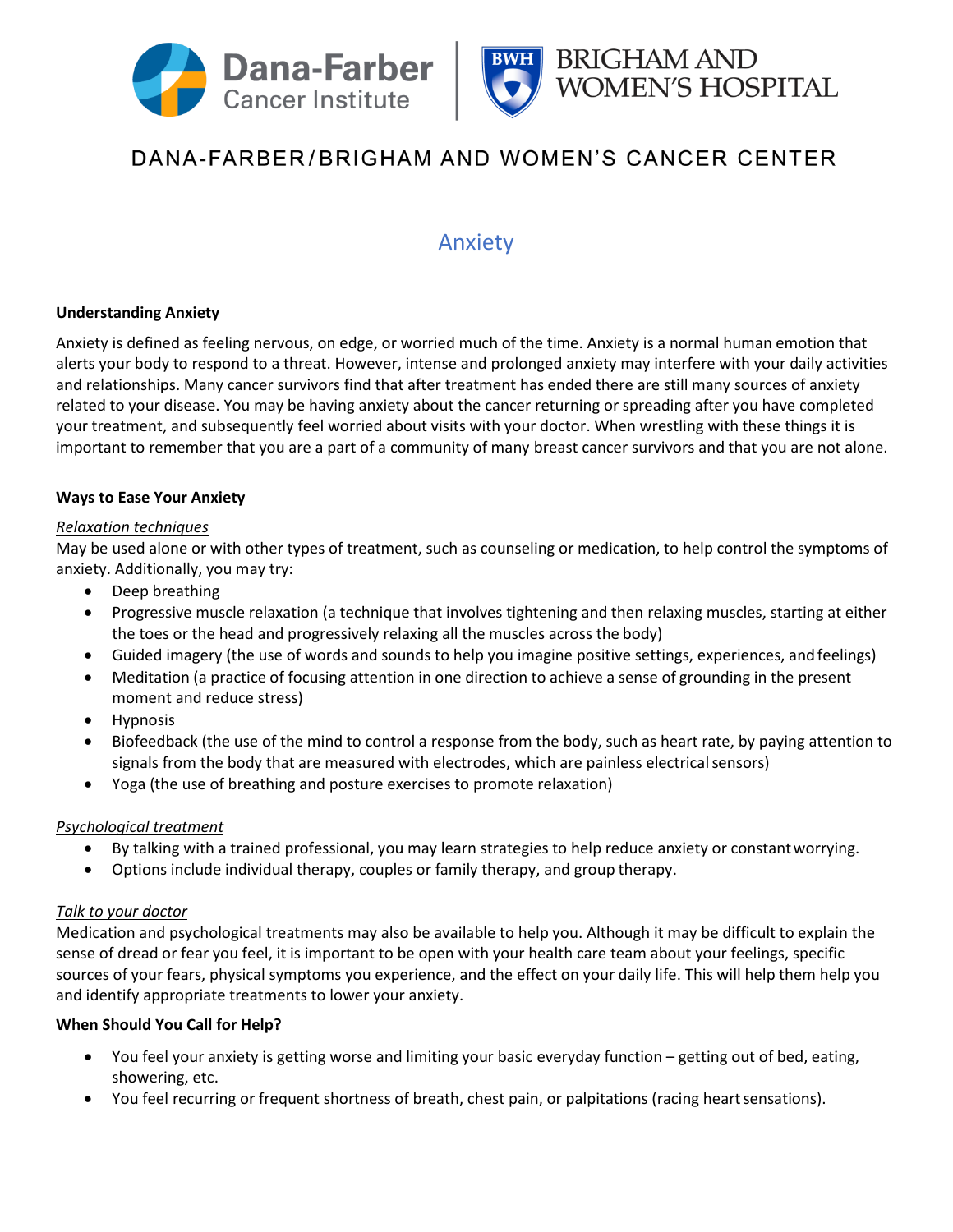



# DANA-FARBER/BRIGHAM AND WOMEN'S CANCER CENTER

# Anxiety

# **Understanding Anxiety**

Anxiety is defined as feeling nervous, on edge, or worried much of the time. Anxiety is a normal human emotion that alerts your body to respond to a threat. However, intense and prolonged anxiety may interfere with your daily activities and relationships. Many cancer survivors find that after treatment has ended there are still many sources of anxiety related to your disease. You may be having anxiety about the cancer returning or spreading after you have completed your treatment, and subsequently feel worried about visits with your doctor. When wrestling with these things it is important to remember that you are a part of a community of many breast cancer survivors and that you are not alone.

#### **Ways to Ease Your Anxiety**

#### *Relaxation techniques*

May be used alone or with other types of treatment, such as counseling or medication, to help control the symptoms of anxiety. Additionally, you may try:

- Deep breathing
- Progressive muscle relaxation (a technique that involves tightening and then relaxing muscles, starting at either the toes or the head and progressively relaxing all the muscles across the body)
- Guided imagery (the use of words and sounds to help you imagine positive settings, experiences, andfeelings)
- Meditation (a practice of focusing attention in one direction to achieve a sense of grounding in the present moment and reduce stress)
- Hypnosis
- Biofeedback (the use of the mind to control a response from the body, such as heart rate, by paying attention to signals from the body that are measured with electrodes, which are painless electrical sensors)
- Yoga (the use of breathing and posture exercises to promote relaxation)

#### *Psychological treatment*

- By talking with a trained professional, you may learn strategies to help reduce anxiety or constantworrying.
- Options include individual therapy, couples or family therapy, and group therapy.

#### *Talk to your doctor*

Medication and psychological treatments may also be available to help you. Although it may be difficult to explain the sense of dread or fear you feel, it is important to be open with your health care team about your feelings, specific sources of your fears, physical symptoms you experience, and the effect on your daily life. This will help them help you and identify appropriate treatments to lower your anxiety.

#### **When Should You Call for Help?**

- You feel your anxiety is getting worse and limiting your basic everyday function getting out of bed, eating, showering, etc.
- You feel recurring or frequent shortness of breath, chest pain, or palpitations (racing heart sensations).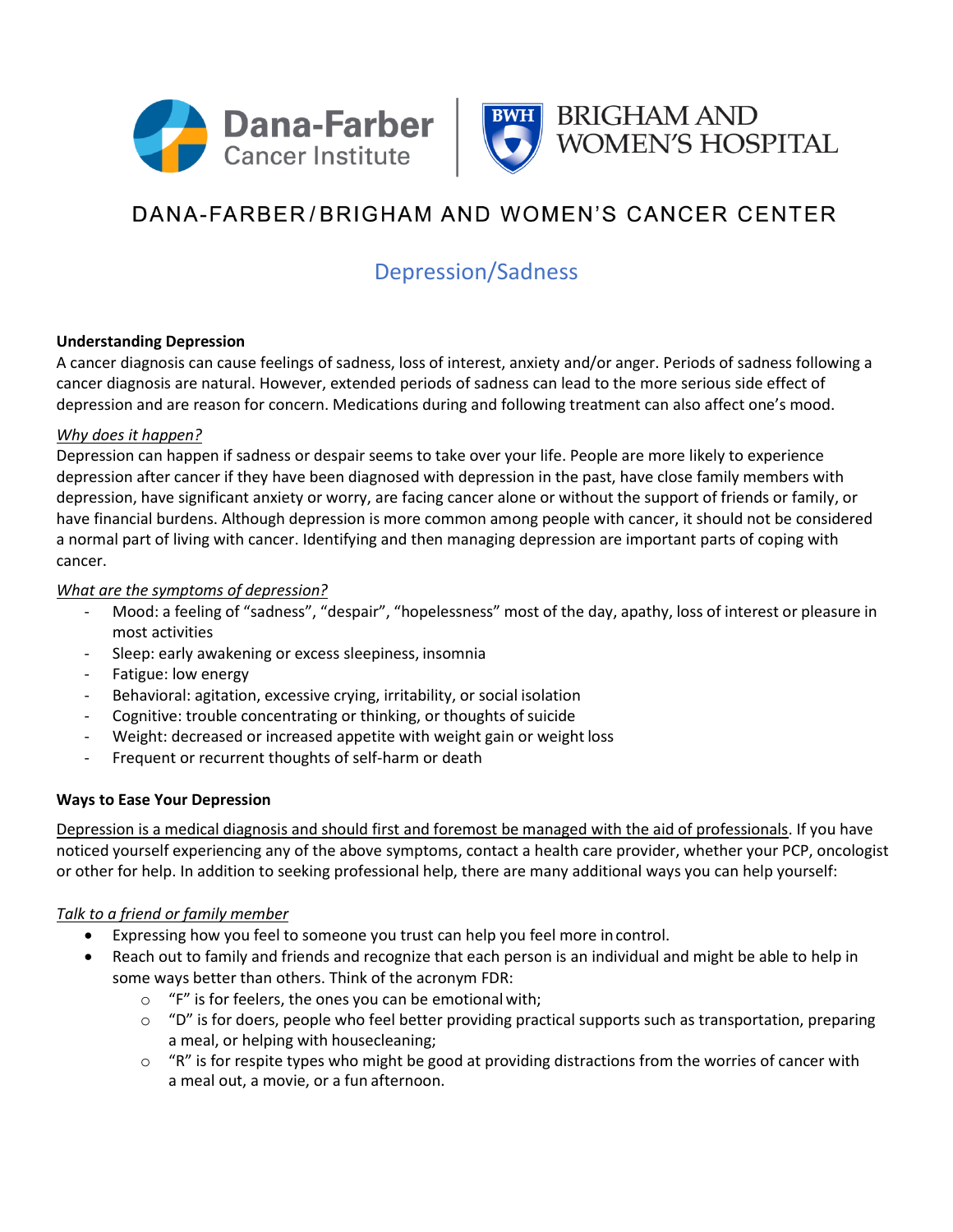



# DANA-FARBER/BRIGHAM AND WOMEN'S CANCER CENTER

# Depression/Sadness

#### **Understanding Depression**

A cancer diagnosis can cause feelings of sadness, loss of interest, anxiety and/or anger. Periods of sadness following a cancer diagnosis are natural. However, extended periods of sadness can lead to the more serious side effect of depression and are reason for concern. Medications during and following treatment can also affect one's mood.

#### *Why does it happen?*

Depression can happen if sadness or despair seems to take over your life. People are more likely to experience depression after cancer if they have been diagnosed with depression in the past, have close family members with depression, have significant anxiety or worry, are facing cancer alone or without the support of friends or family, or have financial burdens. Although depression is more common among people with cancer, it should not be considered a normal part of living with cancer. Identifying and then managing depression are important parts of coping with cancer.

# *What are the symptoms of depression?*

- Mood: a feeling of "sadness", "despair", "hopelessness" most of the day, apathy, loss of interest or pleasure in most activities
- Sleep: early awakening or excess sleepiness, insomnia
- Fatigue: low energy
- Behavioral: agitation, excessive crying, irritability, or social isolation
- Cognitive: trouble concentrating or thinking, or thoughts of suicide
- Weight: decreased or increased appetite with weight gain or weight loss
- Frequent or recurrent thoughts of self-harm or death

#### **Ways to Ease Your Depression**

Depression is a medical diagnosis and should first and foremost be managed with the aid of professionals. If you have noticed yourself experiencing any of the above symptoms, contact a health care provider, whether your PCP, oncologist or other for help. In addition to seeking professional help, there are many additional ways you can help yourself:

#### *Talk to a friend or family member*

- Expressing how you feel to someone you trust can help you feel more in control.
- Reach out to family and friends and recognize that each person is an individual and might be able to help in some ways better than others. Think of the acronym FDR:
	- o "F" is for feelers, the ones you can be emotionalwith;
	- $\circ$  "D" is for doers, people who feel better providing practical supports such as transportation, preparing a meal, or helping with housecleaning;
	- $\circ$  "R" is for respite types who might be good at providing distractions from the worries of cancer with a meal out, a movie, or a fun afternoon.